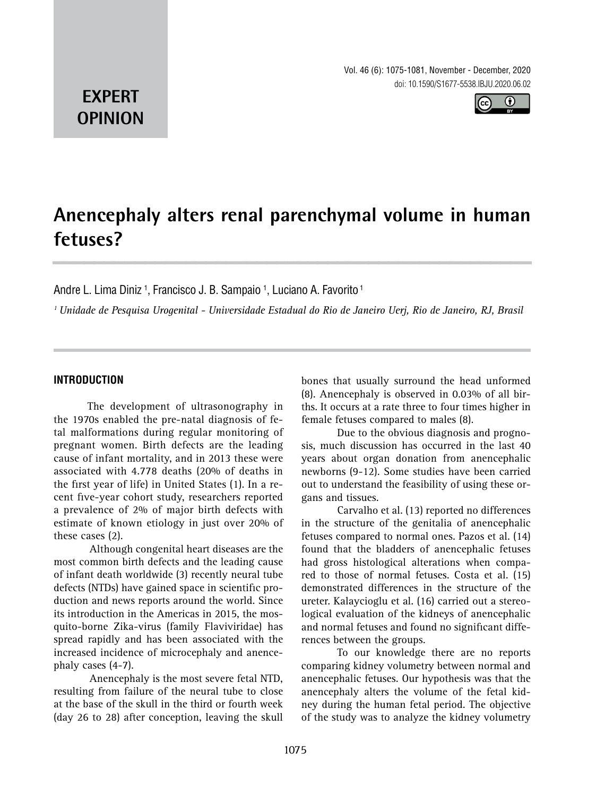Vol. 46 (6): 1075-1081, November - December, 2020 doi: 10.1590/S1677-5538.IBJU.2020.06.02



## **EXPERT OPINION**

# **Anencephaly alters renal parenchymal volume in human fetuses? \_\_\_\_\_\_\_\_\_\_\_\_\_\_\_\_\_\_\_\_\_\_\_\_\_\_\_\_\_\_\_\_\_\_\_\_\_\_\_\_\_\_\_\_\_\_\_**

Andre L. Lima Diniz <sup>1</sup>, Francisco J. B. Sampaio <sup>1</sup>, Luciano A. Favorito <sup>1</sup>

*1 Unidade de Pesquisa Urogenital - Universidade Estadual do Rio de Janeiro Uerj, Rio de Janeiro, RJ, Brasil*

## **INTRODUCTION**

The development of ultrasonography in the 1970s enabled the pre-natal diagnosis of fetal malformations during regular monitoring of pregnant women. Birth defects are the leading cause of infant mortality, and in 2013 these were associated with 4.778 deaths (20% of deaths in the first year of life) in United States (1). In a recent five-year cohort study, researchers reported a prevalence of 2% of major birth defects with estimate of known etiology in just over 20% of these cases (2).

Although congenital heart diseases are the most common birth defects and the leading cause of infant death worldwide (3) recently neural tube defects (NTDs) have gained space in scientific production and news reports around the world. Since its introduction in the Americas in 2015, the mosquito-borne Zika-virus (family Flaviviridae) has spread rapidly and has been associated with the increased incidence of microcephaly and anencephaly cases (4-7).

Anencephaly is the most severe fetal NTD, resulting from failure of the neural tube to close at the base of the skull in the third or fourth week (day 26 to 28) after conception, leaving the skull bones that usually surround the head unformed (8). Anencephaly is observed in 0.03% of all births. It occurs at a rate three to four times higher in female fetuses compared to males (8).

Due to the obvious diagnosis and prognosis, much discussion has occurred in the last 40 years about organ donation from anencephalic newborns (9-12). Some studies have been carried out to understand the feasibility of using these organs and tissues.

Carvalho et al. (13) reported no differences in the structure of the genitalia of anencephalic fetuses compared to normal ones. Pazos et al. (14) found that the bladders of anencephalic fetuses had gross histological alterations when compared to those of normal fetuses. Costa et al. (15) demonstrated differences in the structure of the ureter. Kalaycioglu et al. (16) carried out a stereological evaluation of the kidneys of anencephalic and normal fetuses and found no significant differences between the groups.

To our knowledge there are no reports comparing kidney volumetry between normal and anencephalic fetuses. Our hypothesis was that the anencephaly alters the volume of the fetal kidney during the human fetal period. The objective of the study was to analyze the kidney volumetry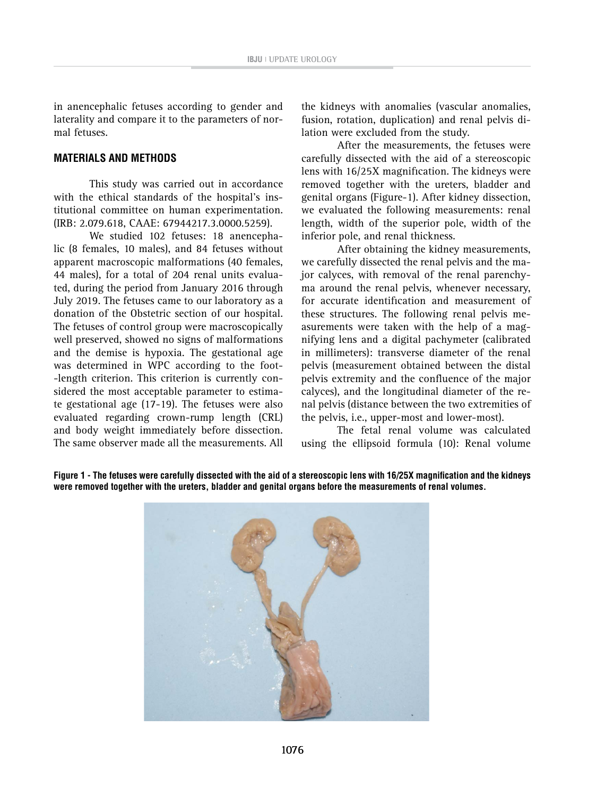in anencephalic fetuses according to gender and laterality and compare it to the parameters of normal fetuses.

#### **MATERIALS AND METHODS**

This study was carried out in accordance with the ethical standards of the hospital's institutional committee on human experimentation. (IRB: 2.079.618, CAAE: 67944217.3.0000.5259).

We studied 102 fetuses: 18 anencephalic (8 females, 10 males), and 84 fetuses without apparent macroscopic malformations (40 females, 44 males), for a total of 204 renal units evaluated, during the period from January 2016 through July 2019. The fetuses came to our laboratory as a donation of the Obstetric section of our hospital. The fetuses of control group were macroscopically well preserved, showed no signs of malformations and the demise is hypoxia. The gestational age was determined in WPC according to the foot- -length criterion. This criterion is currently considered the most acceptable parameter to estimate gestational age (17-19). The fetuses were also evaluated regarding crown-rump length (CRL) and body weight immediately before dissection. The same observer made all the measurements. All

the kidneys with anomalies (vascular anomalies, fusion, rotation, duplication) and renal pelvis dilation were excluded from the study.

After the measurements, the fetuses were carefully dissected with the aid of a stereoscopic lens with 16/25X magnification. The kidneys were removed together with the ureters, bladder and genital organs (Figure-1). After kidney dissection, we evaluated the following measurements: renal length, width of the superior pole, width of the inferior pole, and renal thickness.

After obtaining the kidney measurements, we carefully dissected the renal pelvis and the major calyces, with removal of the renal parenchyma around the renal pelvis, whenever necessary, for accurate identification and measurement of these structures. The following renal pelvis measurements were taken with the help of a magnifying lens and a digital pachymeter (calibrated in millimeters): transverse diameter of the renal pelvis (measurement obtained between the distal pelvis extremity and the confluence of the major calyces), and the longitudinal diameter of the renal pelvis (distance between the two extremities of the pelvis, i.e., upper-most and lower-most).

The fetal renal volume was calculated using the ellipsoid formula (10): Renal volume



**Figure 1 - The fetuses were carefully dissected with the aid of a stereoscopic lens with 16/25X magnification and the kidneys were removed together with the ureters, bladder and genital organs before the measurements of renal volumes.**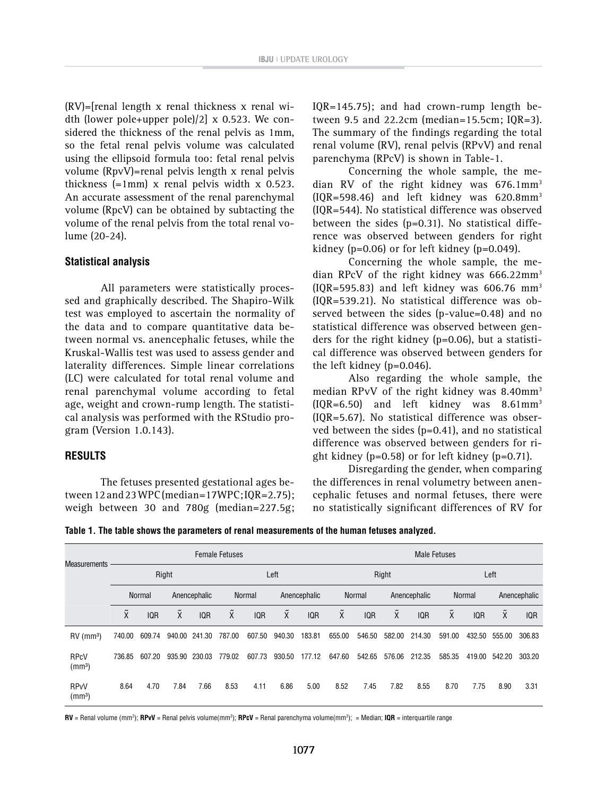(RV)=[renal length x renal thickness x renal width (lower pole+upper pole)/2] x 0.523. We considered the thickness of the renal pelvis as 1mm, so the fetal renal pelvis volume was calculated using the ellipsoid formula too: fetal renal pelvis volume (RpvV)=renal pelvis length x renal pelvis thickness (=1mm) x renal pelvis width x 0.523. An accurate assessment of the renal parenchymal volume (RpcV) can be obtained by subtacting the volume of the renal pelvis from the total renal volume (20-24).

#### **Statistical analysis**

All parameters were statistically processed and graphically described. The Shapiro-Wilk test was employed to ascertain the normality of the data and to compare quantitative data between normal vs. anencephalic fetuses, while the Kruskal-Wallis test was used to assess gender and laterality differences. Simple linear correlations (LC) were calculated for total renal volume and renal parenchymal volume according to fetal age, weight and crown-rump length. The statistical analysis was performed with the RStudio program (Version 1.0.143).

#### **RESULTS**

The fetuses presented gestational ages between 12 and 23 WPC (median=17WPC; IQR=2.75); weigh between 30 and 780g (median=227.5g; IQR=145.75); and had crown-rump length between 9.5 and 22.2cm (median=15.5cm; IQR=3). The summary of the findings regarding the total renal volume (RV), renal pelvis (RPvV) and renal parenchyma (RPcV) is shown in Table-1.

Concerning the whole sample, the median RV of the right kidney was 676.1mm<sup>3</sup>  $[IOR=598.46]$  and left kidney was 620.8mm<sup>3</sup> (IQR=544). No statistical difference was observed between the sides (p=0.31). No statistical difference was observed between genders for right kidney ( $p=0.06$ ) or for left kidney ( $p=0.049$ ).

Concerning the whole sample, the median RPcV of the right kidney was 666.22mm3 (IQR=595.83) and left kidney was  $606.76$  mm<sup>3</sup> (IQR=539.21). No statistical difference was observed between the sides (p-value=0.48) and no statistical difference was observed between genders for the right kidney (p=0.06), but a statistical difference was observed between genders for the left kidney (p=0.046).

Also regarding the whole sample, the median RPvV of the right kidney was 8.40mm<sup>3</sup>  $[IQR=6.50]$  and left kidney was 8.61mm<sup>3</sup> (IQR=5.67). No statistical difference was observed between the sides (p=0.41), and no statistical difference was observed between genders for right kidney ( $p=0.58$ ) or for left kidney ( $p=0.71$ ).

Disregarding the gender, when comparing the differences in renal volumetry between anencephalic fetuses and normal fetuses, there were no statistically significant differences of RV for

**Table 1. The table shows the parameters of renal measurements of the human fetuses analyzed.** 

| <b>Measurements</b>                          | <b>Female Fetuses</b> |            |                      |            |                      |            |                      |        | <b>Male Fetuses</b>  |            |                            |            |                      |            |              |            |
|----------------------------------------------|-----------------------|------------|----------------------|------------|----------------------|------------|----------------------|--------|----------------------|------------|----------------------------|------------|----------------------|------------|--------------|------------|
|                                              | Right                 |            |                      |            | Left                 |            |                      |        | Right                |            |                            |            | Left                 |            |              |            |
|                                              | <b>Normal</b>         |            | Anencephalic         |            | <b>Normal</b>        |            | Anencephalic         |        | <b>Normal</b>        |            | Anencephalic               |            | <b>Normal</b>        |            | Anencephalic |            |
|                                              | $\tilde{\mathsf{x}}$  | <b>IQR</b> | $\tilde{\mathsf{x}}$ | <b>IQR</b> | $\tilde{\mathsf{X}}$ | <b>IQR</b> | $\tilde{\mathsf{X}}$ | IQR    | $\tilde{\mathsf{x}}$ | <b>IQR</b> | $\tilde{\phantom{a}}$<br>X | <b>IQR</b> | $\tilde{\mathsf{x}}$ | <b>IQR</b> | X            | <b>IQR</b> |
| $RV$ (mm <sup>3</sup> )                      | 740.00                | 609.74     | 940.00               | 241.30     | 787.00               | 607.50     | 940.30               | 183.81 | 655.00               | 546.50     | 582.00                     | 214.30     | 591.00               | 432.50     | 555.00       | 306.83     |
| <b>RPcV</b><br>(mm <sup>3</sup> )            | 736.85                | 607.20     | 935.90               | 230.03     | 779.02               | 607.73     | 930.50               | 177.12 | 647.60               | 542.65     | 576.06                     | 212.35     | 585.35               | 419.00     | 542.20       | 303.20     |
| <b>RP<sub>V</sub>V</b><br>(mm <sup>3</sup> ) | 8.64                  | 4.70       | 7.84                 | 7.66       | 8.53                 | 4.11       | 6.86                 | 5.00   | 8.52                 | 7.45       | 7.82                       | 8.55       | 8.70                 | 7.75       | 8.90         | 3.31       |

**RV** = Renal volume (mm3 ); **RPvV** = Renal pelvis volume(mm3 ); **RPcV** = Renal parenchyma volume(mm3 ); = Median; **IQR** = interquartile range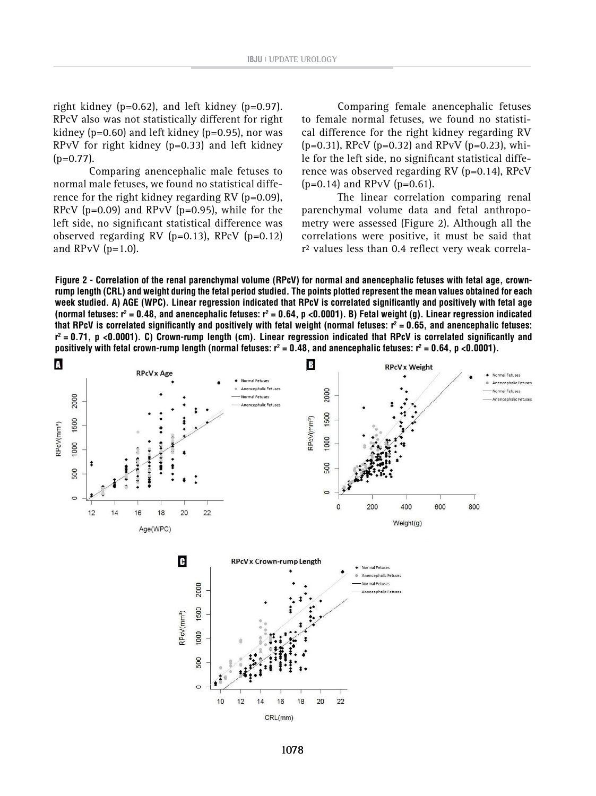right kidney (p=0.62), and left kidney (p=0.97). RPcV also was not statistically different for right kidney ( $p=0.60$ ) and left kidney ( $p=0.95$ ), nor was RPvV for right kidney (p=0.33) and left kidney  $(p=0.77)$ .

Comparing anencephalic male fetuses to normal male fetuses, we found no statistical difference for the right kidney regarding RV ( $p=0.09$ ), RPcV ( $p=0.09$ ) and RPvV ( $p=0.95$ ), while for the left side, no significant statistical difference was observed regarding RV ( $p=0.13$ ), RPcV ( $p=0.12$ ) and RPvV  $(p=1.0)$ .

Comparing female anencephalic fetuses to female normal fetuses, we found no statistical difference for the right kidney regarding RV  $(p=0.31)$ , RPcV  $(p=0.32)$  and RPvV  $(p=0.23)$ , while for the left side, no significant statistical difference was observed regarding RV (p=0.14), RPcV  $(p=0.14)$  and RPvV  $(p=0.61)$ .

The linear correlation comparing renal parenchymal volume data and fetal anthropometry were assessed (Figure 2). Although all the correlations were positive, it must be said that r² values less than 0.4 reflect very weak correla-

**Figure 2 - Correlation of the renal parenchymal volume (RPcV) for normal and anencephalic fetuses with fetal age, crownrump length (CRL) and weight during the fetal period studied. The points plotted represent the mean values obtained for each week studied. A) AGE (WPC). Linear regression indicated that RPcV is correlated significantly and positively with fetal age (normal fetuses: r2 = 0.48, and anencephalic fetuses: r2 = 0.64, p <0.0001). B) Fetal weight (g). Linear regression indicated**  that RPcV is correlated significantly and positively with fetal weight (normal fetuses:  $r^2 = 0.65$ , and anencephalic fetuses: **r2 = 0.71, p <0.0001). C) Crown-rump length (cm). Linear regression indicated that RPcV is correlated significantly and positively with fetal crown-rump length (normal fetuses:**  $r^2 = 0.48$ **, and anencephalic fetuses:**  $r^2 = 0.64$ **, p <0.0001).** 

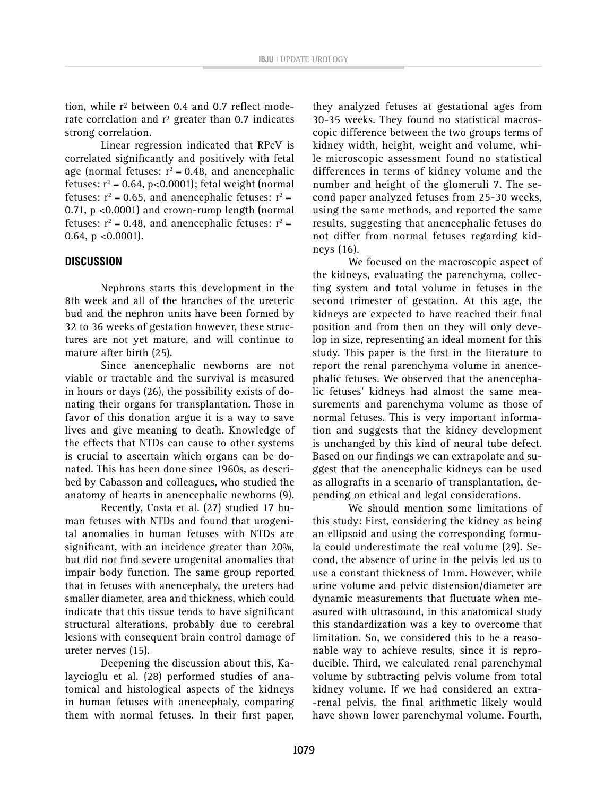tion, while r² between 0.4 and 0.7 reflect moderate correlation and r<sup>2</sup> greater than 0.7 indicates strong correlation.

Linear regression indicated that RPcV is correlated significantly and positively with fetal age (normal fetuses:  $r^2 = 0.48$ , and anencephalic fetuses:  $r^2$  = 0.64, p<0.0001); fetal weight (normal fetuses:  $r^2$  = 0.65, and anencephalic fetuses:  $r^2$  = 0.71, p <0.0001) and crown-rump length (normal fetuses:  $r^2$  = 0.48, and anencephalic fetuses:  $r^2$  = 0.64, p <0.0001).

## **DISCUSSION**

Nephrons starts this development in the 8th week and all of the branches of the ureteric bud and the nephron units have been formed by 32 to 36 weeks of gestation however, these structures are not yet mature, and will continue to mature after birth (25).

Since anencephalic newborns are not viable or tractable and the survival is measured in hours or days (26), the possibility exists of donating their organs for transplantation. Those in favor of this donation argue it is a way to save lives and give meaning to death. Knowledge of the effects that NTDs can cause to other systems is crucial to ascertain which organs can be donated. This has been done since 1960s, as described by Cabasson and colleagues, who studied the anatomy of hearts in anencephalic newborns (9).

Recently, Costa et al. (27) studied 17 human fetuses with NTDs and found that urogenital anomalies in human fetuses with NTDs are significant, with an incidence greater than 20%, but did not find severe urogenital anomalies that impair body function. The same group reported that in fetuses with anencephaly, the ureters had smaller diameter, area and thickness, which could indicate that this tissue tends to have significant structural alterations, probably due to cerebral lesions with consequent brain control damage of ureter nerves (15).

Deepening the discussion about this, Kalaycioglu et al. (28) performed studies of anatomical and histological aspects of the kidneys in human fetuses with anencephaly, comparing them with normal fetuses. In their first paper,

they analyzed fetuses at gestational ages from 30-35 weeks. They found no statistical macroscopic difference between the two groups terms of kidney width, height, weight and volume, while microscopic assessment found no statistical differences in terms of kidney volume and the number and height of the glomeruli 7. The second paper analyzed fetuses from 25-30 weeks, using the same methods, and reported the same results, suggesting that anencephalic fetuses do not differ from normal fetuses regarding kidneys (16).

We focused on the macroscopic aspect of the kidneys, evaluating the parenchyma, collecting system and total volume in fetuses in the second trimester of gestation. At this age, the kidneys are expected to have reached their final position and from then on they will only develop in size, representing an ideal moment for this study. This paper is the first in the literature to report the renal parenchyma volume in anencephalic fetuses. We observed that the anencephalic fetuses' kidneys had almost the same measurements and parenchyma volume as those of normal fetuses. This is very important information and suggests that the kidney development is unchanged by this kind of neural tube defect. Based on our findings we can extrapolate and suggest that the anencephalic kidneys can be used as allografts in a scenario of transplantation, depending on ethical and legal considerations.

We should mention some limitations of this study: First, considering the kidney as being an ellipsoid and using the corresponding formula could underestimate the real volume (29). Second, the absence of urine in the pelvis led us to use a constant thickness of 1mm. However, while urine volume and pelvic distension/diameter are dynamic measurements that fluctuate when measured with ultrasound, in this anatomical study this standardization was a key to overcome that limitation. So, we considered this to be a reasonable way to achieve results, since it is reproducible. Third, we calculated renal parenchymal volume by subtracting pelvis volume from total kidney volume. If we had considered an extra- -renal pelvis, the final arithmetic likely would have shown lower parenchymal volume. Fourth,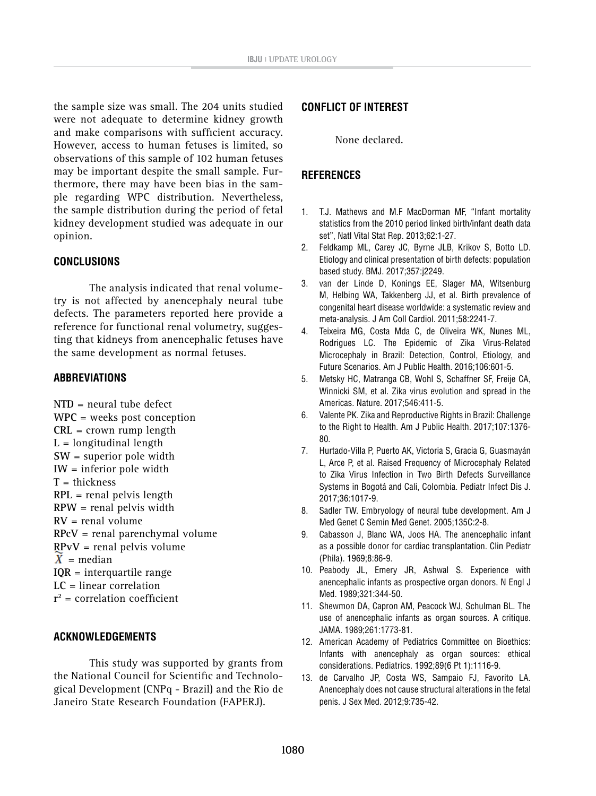the sample size was small. The 204 units studied were not adequate to determine kidney growth and make comparisons with sufficient accuracy. However, access to human fetuses is limited, so observations of this sample of 102 human fetuses may be important despite the small sample. Furthermore, there may have been bias in the sample regarding WPC distribution. Nevertheless, the sample distribution during the period of fetal kidney development studied was adequate in our opinion.

#### **CONCLUSIONS**

The analysis indicated that renal volumetry is not affected by anencephaly neural tube defects. The parameters reported here provide a reference for functional renal volumetry, suggesting that kidneys from anencephalic fetuses have the same development as normal fetuses.

#### **ABBREVIATIONS**

**NTD** = neural tube defect **WPC** = weeks post conception **CRL** = crown rump length  $L =$ longitudinal length **SW** = superior pole width **IW** = inferior pole width **T** = thickness **RPL** = renal pelvis length **RPW** = renal pelvis width **RV** = renal volume **RPcV** = renal parenchymal volume **RPvV** = renal pelvis volume  $\overline{X}$  = median **IQR** = interquartile range **LC** = linear correlation **r2** = correlation coefficient

#### **ACKNOWLEDGEMENTS**

This study was supported by grants from the National Council for Scientific and Technological Development (CNPq - Brazil) and the Rio de Janeiro State Research Foundation (FAPERJ).

## **CONFLICT OF INTEREST**

None declared.

#### **REFERENCES**

- 1. T.J. Mathews and M.F MacDorman MF, "Infant mortality statistics from the 2010 period linked birth/infant death data set", Natl Vital Stat Rep. 2013;62:1-27.
- 2. Feldkamp ML, Carey JC, Byrne JLB, Krikov S, Botto LD. Etiology and clinical presentation of birth defects: population based study. BMJ. 2017;357:j2249.
- 3. van der Linde D, Konings EE, Slager MA, Witsenburg M, Helbing WA, Takkenberg JJ, et al. Birth prevalence of congenital heart disease worldwide: a systematic review and meta-analysis. J Am Coll Cardiol. 2011;58:2241-7.
- 4. Teixeira MG, Costa Mda C, de Oliveira WK, Nunes ML, Rodrigues LC. The Epidemic of Zika Virus-Related Microcephaly in Brazil: Detection, Control, Etiology, and Future Scenarios. Am J Public Health. 2016;106:601-5.
- 5. Metsky HC, Matranga CB, Wohl S, Schaffner SF, Freije CA, Winnicki SM, et al. Zika virus evolution and spread in the Americas. Nature. 2017;546:411-5.
- 6. Valente PK. Zika and Reproductive Rights in Brazil: Challenge to the Right to Health. Am J Public Health. 2017;107:1376- 80.
- 7. Hurtado-Villa P, Puerto AK, Victoria S, Gracia G, Guasmayán L, Arce P, et al. Raised Frequency of Microcephaly Related to Zika Virus Infection in Two Birth Defects Surveillance Systems in Bogotá and Cali, Colombia. Pediatr Infect Dis J. 2017;36:1017-9.
- 8. Sadler TW. Embryology of neural tube development. Am J Med Genet C Semin Med Genet. 2005;135C:2-8.
- 9. Cabasson J, Blanc WA, Joos HA. The anencephalic infant as a possible donor for cardiac transplantation. Clin Pediatr (Phila). 1969;8:86-9.
- 10. Peabody JL, Emery JR, Ashwal S. Experience with anencephalic infants as prospective organ donors. N Engl J Med. 1989;321:344-50.
- 11. Shewmon DA, Capron AM, Peacock WJ, Schulman BL. The use of anencephalic infants as organ sources. A critique. JAMA. 1989;261:1773-81.
- 12. American Academy of Pediatrics Committee on Bioethics: Infants with anencephaly as organ sources: ethical considerations. Pediatrics. 1992;89(6 Pt 1):1116-9.
- 13. de Carvalho JP, Costa WS, Sampaio FJ, Favorito LA. Anencephaly does not cause structural alterations in the fetal penis. J Sex Med. 2012;9:735-42.